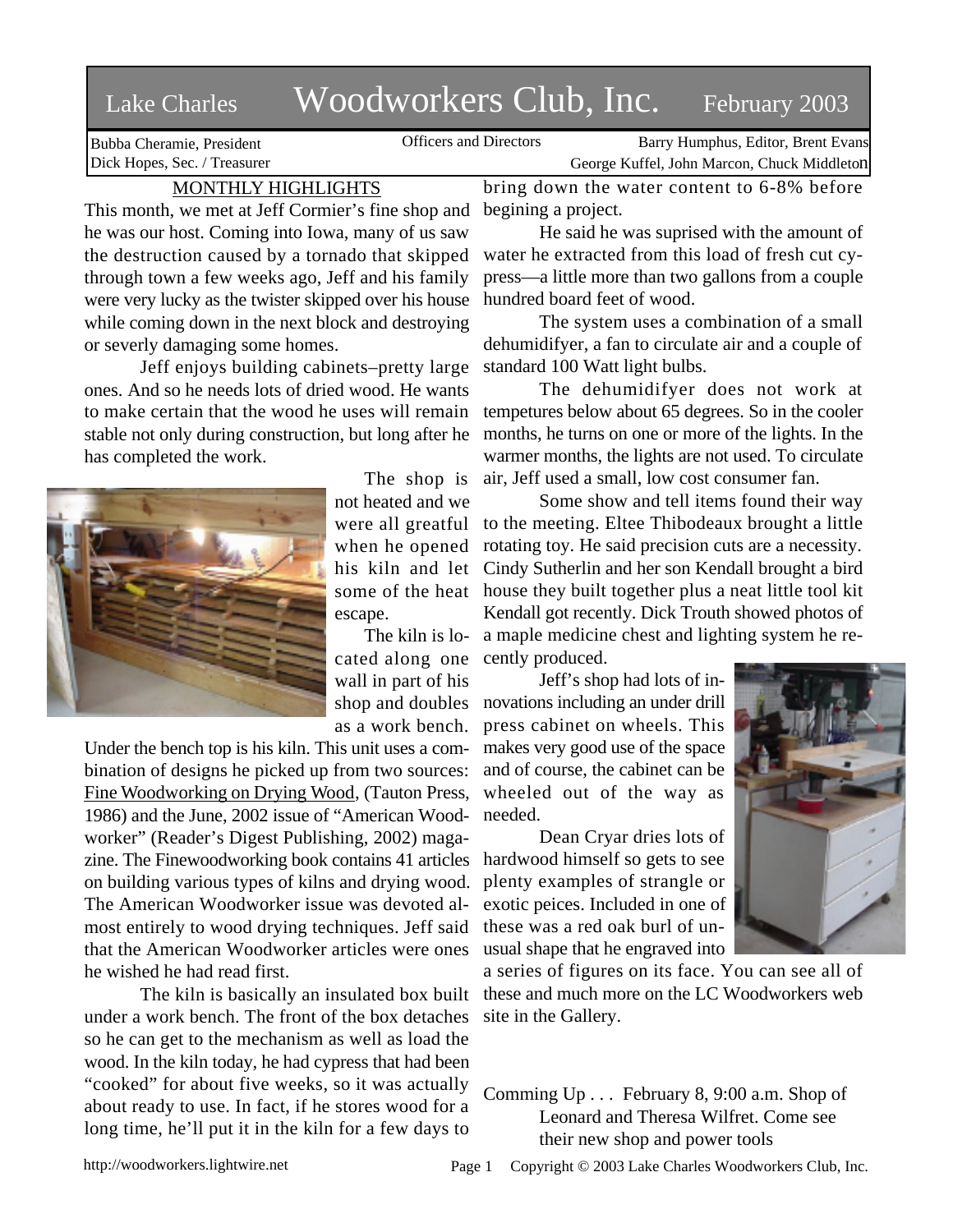# Lake Charles Woodworkers Club, Inc. February 2003

Bubba Cheramie, President Dick Hopes, Sec. / Treasurer

Officers and Directors Barry Humphus, Editor, Brent Evans George Kuffel, John Marcon, Chuck Middleton

# MONTHLY HIGHLIGHTS

This month, we met at Jeff Cormier's fine shop and he was our host. Coming into Iowa, many of us saw the destruction caused by a tornado that skipped through town a few weeks ago, Jeff and his family were very lucky as the twister skipped over his house while coming down in the next block and destroying or severly damaging some homes.

Jeff enjoys building cabinets–pretty large ones. And so he needs lots of dried wood. He wants to make certain that the wood he uses will remain stable not only during construction, but long after he has completed the work.



The shop is not heated and we were all greatful when he opened his kiln and let some of the heat escape.

cated along one wall in part of his shop and doubles as a work bench.

Under the bench top is his kiln. This unit uses a combination of designs he picked up from two sources: Fine Woodworking on Drying Wood, (Tauton Press, 1986) and the June, 2002 issue of "American Woodworker" (Reader's Digest Publishing, 2002) magazine. The Finewoodworking book contains 41 articles on building various types of kilns and drying wood. The American Woodworker issue was devoted almost entirely to wood drying techniques. Jeff said that the American Woodworker articles were ones he wished he had read first.

The kiln is basically an insulated box built under a work bench. The front of the box detaches so he can get to the mechanism as well as load the wood. In the kiln today, he had cypress that had been "cooked" for about five weeks, so it was actually about ready to use. In fact, if he stores wood for a long time, he'll put it in the kiln for a few days to

bring down the water content to 6-8% before begining a project.

He said he was suprised with the amount of water he extracted from this load of fresh cut cypress—a little more than two gallons from a couple hundred board feet of wood.

The system uses a combination of a small dehumidifyer, a fan to circulate air and a couple of standard 100 Watt light bulbs.

The dehumidifyer does not work at tempetures below about 65 degrees. So in the cooler months, he turns on one or more of the lights. In the warmer months, the lights are not used. To circulate air, Jeff used a small, low cost consumer fan.

The kiln is lo-a maple medicine chest and lighting system he re-Some show and tell items found their way to the meeting. Eltee Thibodeaux brought a little rotating toy. He said precision cuts are a necessity. Cindy Sutherlin and her son Kendall brought a bird house they built together plus a neat little tool kit Kendall got recently. Dick Trouth showed photos of cently produced.

> Jeff's shop had lots of innovations including an under drill press cabinet on wheels. This makes very good use of the space and of course, the cabinet can be wheeled out of the way as needed.

> Dean Cryar dries lots of hardwood himself so gets to see plenty examples of strangle or exotic peices. Included in one of these was a red oak burl of unusual shape that he engraved into



a series of figures on its face. You can see all of these and much more on the LC Woodworkers web site in the Gallery.

Comming Up . . . February 8, 9:00 a.m. Shop of Leonard and Theresa Wilfret. Come see their new shop and power tools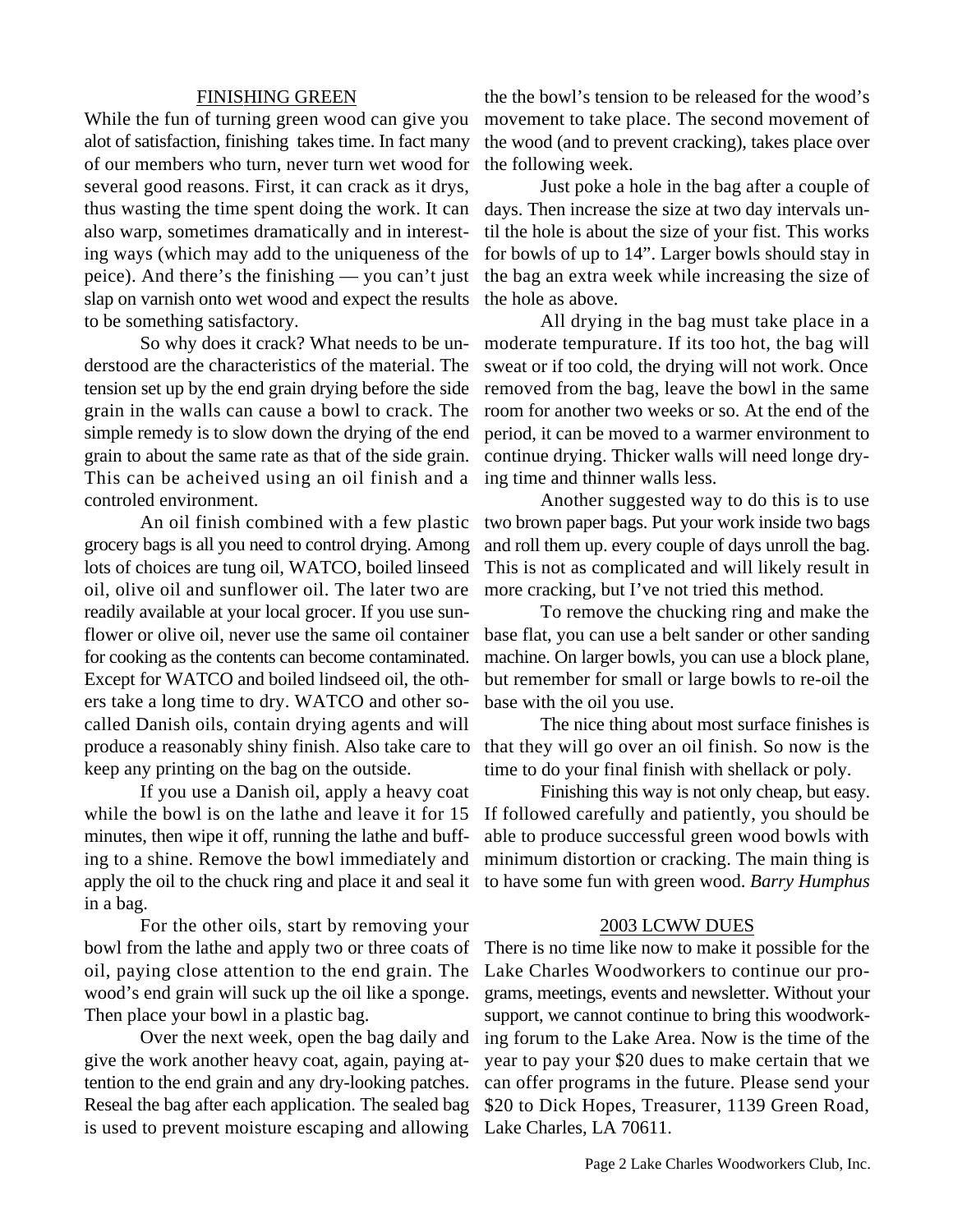#### FINISHING GREEN

While the fun of turning green wood can give you alot of satisfaction, finishing takes time. In fact many of our members who turn, never turn wet wood for several good reasons. First, it can crack as it drys, thus wasting the time spent doing the work. It can also warp, sometimes dramatically and in interesting ways (which may add to the uniqueness of the peice). And there's the finishing — you can't just slap on varnish onto wet wood and expect the results to be something satisfactory.

So why does it crack? What needs to be understood are the characteristics of the material. The tension set up by the end grain drying before the side grain in the walls can cause a bowl to crack. The simple remedy is to slow down the drying of the end grain to about the same rate as that of the side grain. This can be acheived using an oil finish and a controled environment.

An oil finish combined with a few plastic grocery bags is all you need to control drying. Among lots of choices are tung oil, WATCO, boiled linseed oil, olive oil and sunflower oil. The later two are readily available at your local grocer. If you use sunflower or olive oil, never use the same oil container for cooking as the contents can become contaminated. Except for WATCO and boiled lindseed oil, the others take a long time to dry. WATCO and other socalled Danish oils, contain drying agents and will produce a reasonably shiny finish. Also take care to keep any printing on the bag on the outside.

If you use a Danish oil, apply a heavy coat while the bowl is on the lathe and leave it for 15 minutes, then wipe it off, running the lathe and buffing to a shine. Remove the bowl immediately and apply the oil to the chuck ring and place it and seal it in a bag.

For the other oils, start by removing your bowl from the lathe and apply two or three coats of oil, paying close attention to the end grain. The wood's end grain will suck up the oil like a sponge. Then place your bowl in a plastic bag.

Over the next week, open the bag daily and give the work another heavy coat, again, paying attention to the end grain and any dry-looking patches. Reseal the bag after each application. The sealed bag is used to prevent moisture escaping and allowing

the the bowl's tension to be released for the wood's movement to take place. The second movement of the wood (and to prevent cracking), takes place over the following week.

Just poke a hole in the bag after a couple of days. Then increase the size at two day intervals until the hole is about the size of your fist. This works for bowls of up to 14". Larger bowls should stay in the bag an extra week while increasing the size of the hole as above.

All drying in the bag must take place in a moderate tempurature. If its too hot, the bag will sweat or if too cold, the drying will not work. Once removed from the bag, leave the bowl in the same room for another two weeks or so. At the end of the period, it can be moved to a warmer environment to continue drying. Thicker walls will need longe drying time and thinner walls less.

Another suggested way to do this is to use two brown paper bags. Put your work inside two bags and roll them up. every couple of days unroll the bag. This is not as complicated and will likely result in more cracking, but I've not tried this method.

To remove the chucking ring and make the base flat, you can use a belt sander or other sanding machine. On larger bowls, you can use a block plane, but remember for small or large bowls to re-oil the base with the oil you use.

The nice thing about most surface finishes is that they will go over an oil finish. So now is the time to do your final finish with shellack or poly.

Finishing this way is not only cheap, but easy. If followed carefully and patiently, you should be able to produce successful green wood bowls with minimum distortion or cracking. The main thing is to have some fun with green wood. *Barry Humphus*

## 2003 LCWW DUES

There is no time like now to make it possible for the Lake Charles Woodworkers to continue our programs, meetings, events and newsletter. Without your support, we cannot continue to bring this woodworking forum to the Lake Area. Now is the time of the year to pay your \$20 dues to make certain that we can offer programs in the future. Please send your \$20 to Dick Hopes, Treasurer, 1139 Green Road, Lake Charles, LA 70611.